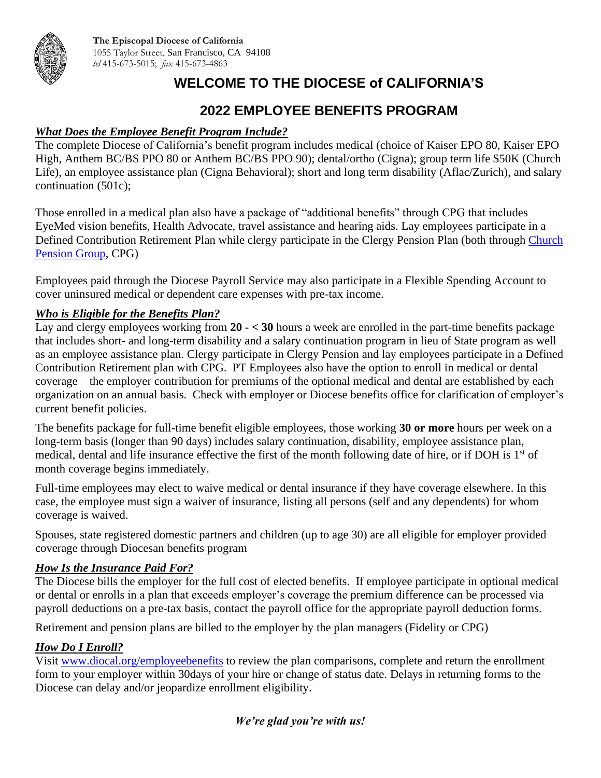

# **WELCOME TO THE DIOCESE of CALIFORNIA'S**

### **2022 EMPLOYEE BENEFITS PROGRAM**

#### *What Does the Employee Benefit Program Include?*

The complete Diocese of California's benefit program includes medical (choice of Kaiser EPO 80, Kaiser EPO High, Anthem BC/BS PPO 80 or Anthem BC/BS PPO 90); dental/ortho (Cigna); group term life \$50K (Church Life), an employee assistance plan (Cigna Behavioral); short and long term disability (Aflac/Zurich), and salary continuation (501c);

Those enrolled in a medical plan also have a package of "additional benefits" through CPG that includes EyeMed vision benefits, Health Advocate, travel assistance and hearing aids. Lay employees participate in a Defined Contribution Retirement Plan while clergy participate in the Clergy Pension Plan (both through [Church](http://www.cpg.org/)  [Pension Group,](http://www.cpg.org/) CPG)

Employees paid through the Diocese Payroll Service may also participate in a Flexible Spending Account to cover uninsured medical or dependent care expenses with pre-tax income.

#### *Who is Eligible for the Benefits Plan?*

Lay and clergy employees working from **20 - < 30** hours a week are enrolled in the part-time benefits package that includes short- and long-term disability and a salary continuation program in lieu of State program as well as an employee assistance plan. Clergy participate in Clergy Pension and lay employees participate in a Defined Contribution Retirement plan with CPG. PT Employees also have the option to enroll in medical or dental coverage – the employer contribution for premiums of the optional medical and dental are established by each organization on an annual basis. Check with employer or Diocese benefits office for clarification of employer's current benefit policies.

The benefits package for full-time benefit eligible employees, those working **30 or more** hours per week on a long-term basis (longer than 90 days) includes salary continuation, disability, employee assistance plan, medical, dental and life insurance effective the first of the month following date of hire, or if DOH is 1<sup>st</sup> of month coverage begins immediately.

Full-time employees may elect to waive medical or dental insurance if they have coverage elsewhere. In this case, the employee must sign a waiver of insurance, listing all persons (self and any dependents) for whom coverage is waived.

Spouses, state registered domestic partners and children (up to age 30) are all eligible for employer provided coverage through Diocesan benefits program

#### *How Is the Insurance Paid For?*

The Diocese bills the employer for the full cost of elected benefits. If employee participate in optional medical or dental or enrolls in a plan that exceeds employer's coverage the premium difference can be processed via payroll deductions on a pre-tax basis, contact the payroll office for the appropriate payroll deduction forms.

Retirement and pension plans are billed to the employer by the plan managers (Fidelity or CPG)

#### *How Do I Enroll?*

Visit [www.diocal.org/employeebenefits](http://www.diocal.org/employeebenefits) to review the plan comparisons, complete and return the enrollment form to your employer within 30days of your hire or change of status date. Delays in returning forms to the Diocese can delay and/or jeopardize enrollment eligibility.

#### *We're glad you're with us!*